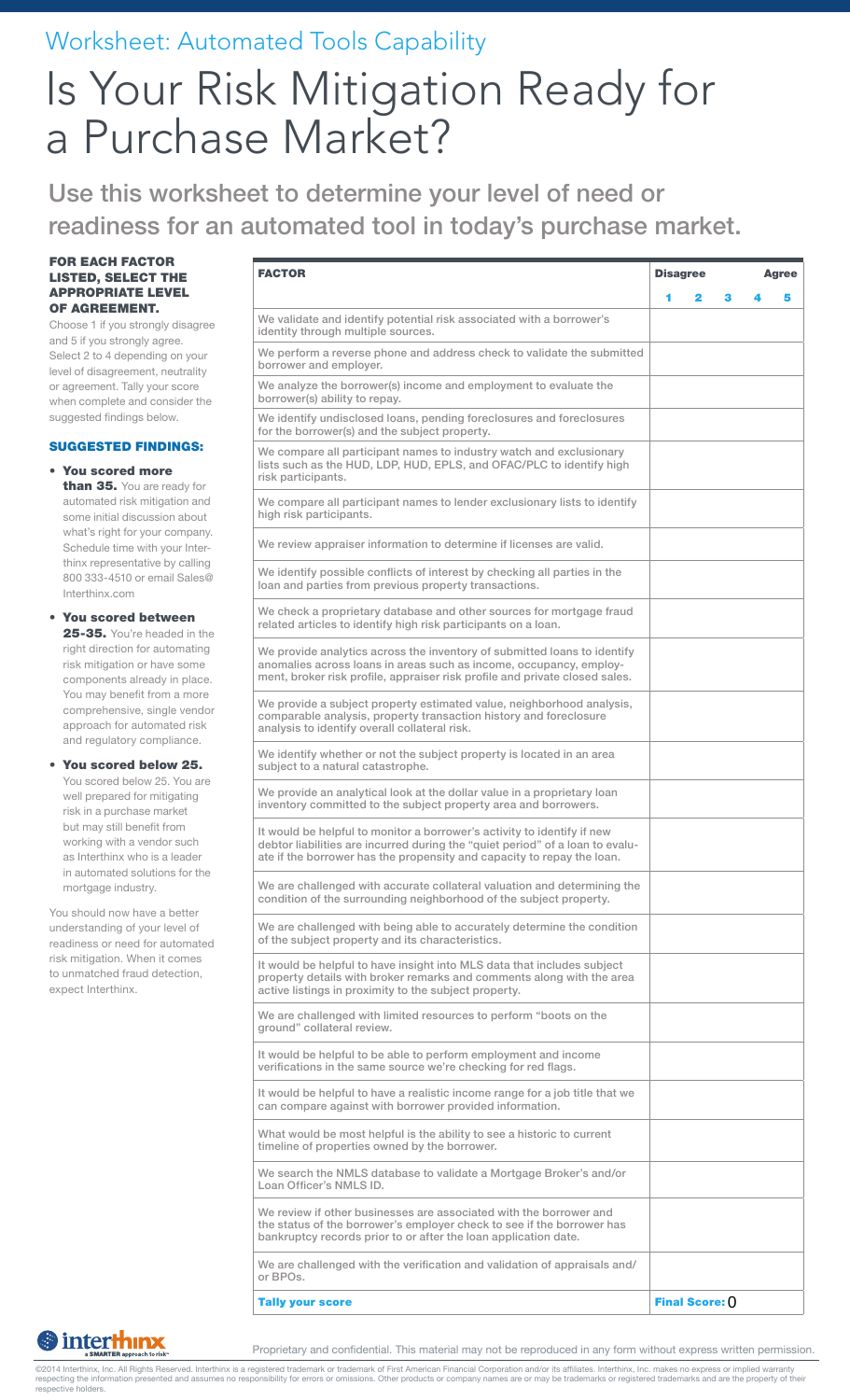### Worksheet: Automated Tools Capability

# Is Your Risk Mitigation Ready for a Purchase Market?

Use this worksheet to determine your level of need or readiness for an automated tool in today's purchase market.

#### FOR EACH FACTOR LISTED, SELECT THE APPROPRIATE LEVEL OF AGREEMENT.

Choose 1 if you strongly disagree and 5 if you strongly agree. Select 2 to 4 depending on your level of disagreement, neutrality or agreement. Tally your score when complete and consider the suggested findings below.

#### SUGGESTED FINDINGS:

• You scored more than 35. You are ready for automated risk mitigation and some initial discussion about what's right for your company. Schedule time with your Interthinx representative by calling 800 333-4510 or email Sales@ Interthinx.com

#### • You scored between 25-35. You're headed in the right direction for automating risk mitigation or have some components already in place. You may benefit from a more comprehensive, single vendor approach for automated risk and regulatory compliance.

You scored below 25. You scored below 25. You are well prepared for mitigating risk in a purchase market but may still benefit from working with a vendor such as Interthinx who is a leader in automated solutions for the mortgage industry.

You should now have a better understanding of your level of readiness or need for automated risk mitigation. When it comes to unmatched fraud detection, expect Interthinx.

| <b>FACTOR</b>                                                                                                                                                                                                                      |   | <b>Disagree</b><br><b>Agree</b> |   |  |   |
|------------------------------------------------------------------------------------------------------------------------------------------------------------------------------------------------------------------------------------|---|---------------------------------|---|--|---|
|                                                                                                                                                                                                                                    | 1 | 2                               | з |  | 5 |
| We validate and identify potential risk associated with a borrower's<br>identity through multiple sources.                                                                                                                         |   |                                 |   |  |   |
| We perform a reverse phone and address check to validate the submitted<br>borrower and employer.                                                                                                                                   |   |                                 |   |  |   |
| We analyze the borrower(s) income and employment to evaluate the<br>borrower(s) ability to repay.                                                                                                                                  |   |                                 |   |  |   |
| We identify undisclosed loans, pending foreclosures and foreclosures<br>for the borrower(s) and the subject property.                                                                                                              |   |                                 |   |  |   |
| We compare all participant names to industry watch and exclusionary<br>lists such as the HUD, LDP, HUD, EPLS, and OFAC/PLC to identify high<br>risk participants.                                                                  |   |                                 |   |  |   |
| We compare all participant names to lender exclusionary lists to identify<br>high risk participants.                                                                                                                               |   |                                 |   |  |   |
| We review appraiser information to determine if licenses are valid.                                                                                                                                                                |   |                                 |   |  |   |
| We identify possible conflicts of interest by checking all parties in the<br>loan and parties from previous property transactions.                                                                                                 |   |                                 |   |  |   |
| We check a proprietary database and other sources for mortgage fraud<br>related articles to identify high risk participants on a loan.                                                                                             |   |                                 |   |  |   |
| We provide analytics across the inventory of submitted loans to identify<br>anomalies across loans in areas such as income, occupancy, employ-<br>ment, broker risk profile, appraiser risk profile and private closed sales.      |   |                                 |   |  |   |
| We provide a subject property estimated value, neighborhood analysis,<br>comparable analysis, property transaction history and foreclosure<br>analysis to identify overall collateral risk.                                        |   |                                 |   |  |   |
| We identify whether or not the subject property is located in an area<br>subject to a natural catastrophe.                                                                                                                         |   |                                 |   |  |   |
| We provide an analytical look at the dollar value in a proprietary loan<br>inventory committed to the subject property area and borrowers.                                                                                         |   |                                 |   |  |   |
| It would be helpful to monitor a borrower's activity to identify if new<br>debtor liabilities are incurred during the "quiet period" of a loan to evalu-<br>ate if the borrower has the propensity and capacity to repay the loan. |   |                                 |   |  |   |
| We are challenged with accurate collateral valuation and determining the<br>condition of the surrounding neighborhood of the subject property.                                                                                     |   |                                 |   |  |   |
| We are challenged with being able to accurately determine the condition<br>of the subject property and its characteristics.                                                                                                        |   |                                 |   |  |   |
| It would be helpful to have insight into MLS data that includes subject<br>property details with broker remarks and comments along with the area<br>active listings in proximity to the subject property.                          |   |                                 |   |  |   |
| We are challenged with limited resources to perform "boots on the<br>ground" collateral review.                                                                                                                                    |   |                                 |   |  |   |
| It would be helpful to be able to perform employment and income<br>verifications in the same source we're checking for red flags.                                                                                                  |   |                                 |   |  |   |
| It would be helpful to have a realistic income range for a job title that we<br>can compare against with borrower provided information.                                                                                            |   |                                 |   |  |   |
| What would be most helpful is the ability to see a historic to current<br>timeline of properties owned by the borrower.                                                                                                            |   |                                 |   |  |   |
| We search the NMLS database to validate a Mortgage Broker's and/or<br>Loan Officer's NMLS ID.                                                                                                                                      |   |                                 |   |  |   |
| We review if other businesses are associated with the borrower and<br>the status of the borrower's employer check to see if the borrower has<br>bankruptcy records prior to or after the loan application date.                    |   |                                 |   |  |   |
| We are challenged with the verification and validation of appraisals and/<br>or BPOs.                                                                                                                                              |   |                                 |   |  |   |
| <b>Tally your score</b>                                                                                                                                                                                                            |   | Final Score: 0                  |   |  |   |

### **S** interthinx

Proprietary and confidential. This material may not be reproduced in any form without express written permission.

©2014 Interthinx, Inc. All Rights Reserved. Interthinx is a registered trademark or trademark of First American Financial Corporation and/or its affiliates. Interthinx, Inc. makes no express or implied warranty<br>respecting